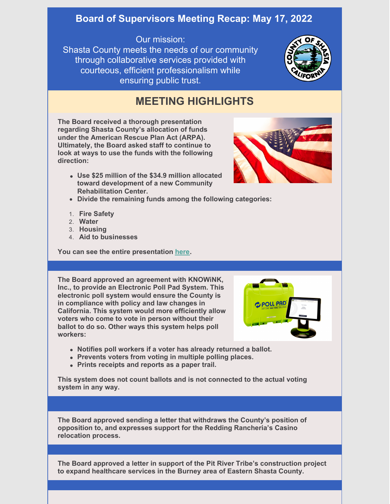## **Board of Supervisors Meeting Recap: May 17, 2022**

## Our mission:

Shasta County meets the needs of our community through collaborative services provided with courteous, efficient professionalism while ensuring public trust.



## **MEETING HIGHLIGHTS**

**The Board received a thorough presentation regarding Shasta County's allocation of funds under the American Rescue Plan Act (ARPA). Ultimately, the Board asked staff to continue to look at ways to use the funds with the following direction:**

**Use \$25 million of the \$34.9 million allocated toward development of a new Community Rehabilitation Center.**



- **Divide the remaining funds among the following categories:**
- 1. **Fire Safety**
- 2. **Water**
- 3. **Housing**
- 4. **Aid to businesses**

**You can see the entire presentation [here](https://youtu.be/XUQZwgYudbU).**

**The Board approved an agreement with KNOWiNK, Inc., to provide an Electronic Poll Pad System. This electronic poll system would ensure the County is in compliance with policy and law changes in California. This system would more efficiently allow voters who come to vote in person without their ballot to do so. Other ways this system helps poll workers:**



- **Notifies poll workers if a voter has already returned a ballot.**
- **Prevents voters from voting in multiple polling places.**
- **Prints receipts and reports as a paper trail.**

**This system does not count ballots and is not connected to the actual voting system in any way.**

**The Board approved sending a letter that withdraws the County's position of opposition to, and expresses support for the Redding Rancheria's Casino relocation process.**

**The Board approved a letter in support of the Pit River Tribe's construction project to expand healthcare services in the Burney area of Eastern Shasta County.**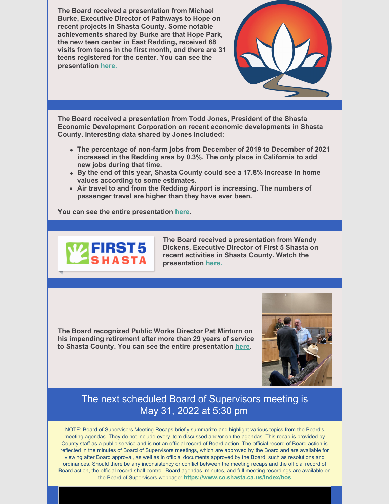**The Board received a presentation from Michael Burke, Executive Director of Pathways to Hope on recent projects in Shasta County. Some notable achievements shared by Burke are that Hope Park, the new teen center in East Redding, received 68 visits from teens in the first month, and there are 31 teens registered for the center. You can see the presentation [here.](https://youtu.be/ShgA8jsjbko)**



**The Board received a presentation from Todd Jones, President of the Shasta Economic Development Corporation on recent economic developments in Shasta County. Interesting data shared by Jones included:**

- **The percentage of non-farm jobs from December of 2019 to December of 2021 increased in the Redding area by 0.3%. The only place in California to add new jobs during that time.**
- **By the end of this year, Shasta County could see a 17.8% increase in home values according to some estimates.**
- **Air travel to and from the Redding Airport is increasing. The numbers of passenger travel are higher than they have ever been.**

**You can see the entire presentation [here](https://youtu.be/Wem3U4_-Hx0).**



**The Board received a presentation from Wendy Dickens, Executive Director of First 5 Shasta on recent activities in Shasta County. Watch the presentation [here.](https://youtu.be/XIfY4nd84p4)**

**The Board recognized Public Works Director Pat Minturn on his impending retirement after more than 29 years of service to Shasta County. You can see the entire presentation [here](https://youtu.be/JtyG1ootZgY).**



## The next scheduled Board of Supervisors meeting is May 31, 2022 at 5:30 pm

NOTE: Board of Supervisors Meeting Recaps briefly summarize and highlight various topics from the Board's meeting agendas. They do not include every item discussed and/or on the agendas. This recap is provided by County staff as a public service and is not an official record of Board action. The official record of Board action is reflected in the minutes of Board of Supervisors meetings, which are approved by the Board and are available for viewing after Board approval, as well as in official documents approved by the Board, such as resolutions and ordinances. Should there be any inconsistency or conflict between the meeting recaps and the official record of Board action, the official record shall control. Board agendas, minutes, and full meeting recordings are available on the Board of Supervisors webpage: **<https://www.co.shasta.ca.us/index/bos>**